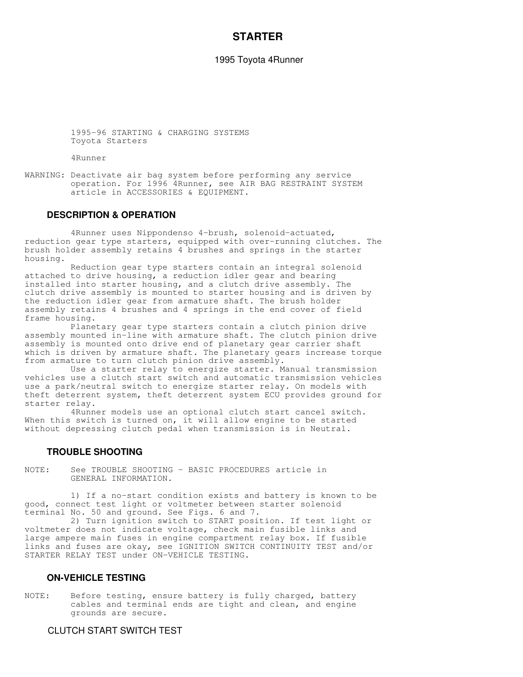# **STARTER**

1995 Toyota 4Runner

 1995-96 STARTING & CHARGING SYSTEMS Toyota Starters

4Runner

WARNING: Deactivate air bag system before performing any service operation. For 1996 4Runner, see AIR BAG RESTRAINT SYSTEM article in ACCESSORIES & EQUIPMENT.

### **DESCRIPTION & OPERATION**

 4Runner uses Nippondenso 4-brush, solenoid-actuated, reduction gear type starters, equipped with over-running clutches. The brush holder assembly retains 4 brushes and springs in the starter housing.

 Reduction gear type starters contain an integral solenoid attached to drive housing, a reduction idler gear and bearing installed into starter housing, and a clutch drive assembly. The clutch drive assembly is mounted to starter housing and is driven by the reduction idler gear from armature shaft. The brush holder assembly retains 4 brushes and 4 springs in the end cover of field frame housing.

 Planetary gear type starters contain a clutch pinion drive assembly mounted in-line with armature shaft. The clutch pinion drive assembly is mounted onto drive end of planetary gear carrier shaft which is driven by armature shaft. The planetary gears increase torque from armature to turn clutch pinion drive assembly.

 Use a starter relay to energize starter. Manual transmission vehicles use a clutch start switch and automatic transmission vehicles use a park/neutral switch to energize starter relay. On models with theft deterrent system, theft deterrent system ECU provides ground for starter relay.

 4Runner models use an optional clutch start cancel switch. When this switch is turned on, it will allow engine to be started without depressing clutch pedal when transmission is in Neutral.

## **TROUBLE SHOOTING**

NOTE: See TROUBLE SHOOTING - BASIC PROCEDURES article in GENERAL INFORMATION.

 1) If a no-start condition exists and battery is known to be good, connect test light or voltmeter between starter solenoid terminal No. 50 and ground. See Figs. 6 and 7.

 2) Turn ignition switch to START position. If test light or voltmeter does not indicate voltage, check main fusible links and large ampere main fuses in engine compartment relay box. If fusible links and fuses are okay, see IGNITION SWITCH CONTINUITY TEST and/or STARTER RELAY TEST under ON-VEHICLE TESTING.

### **ON-VEHICLE TESTING**

NOTE: Before testing, ensure battery is fully charged, battery cables and terminal ends are tight and clean, and engine grounds are secure.

## CLUTCH START SWITCH TEST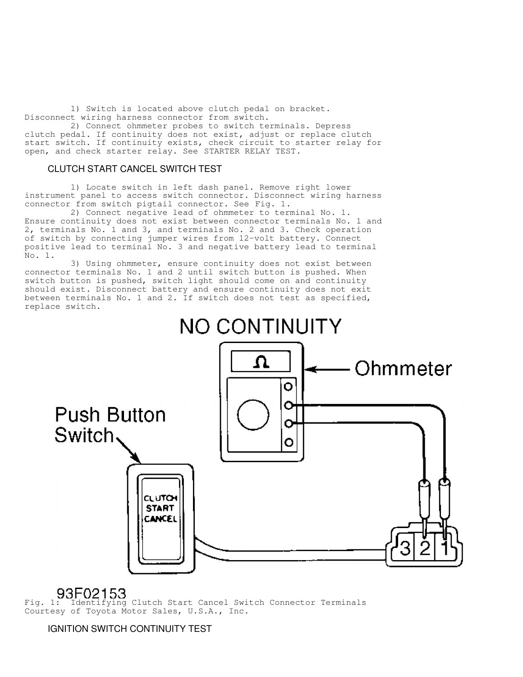1) Switch is located above clutch pedal on bracket. Disconnect wiring harness connector from switch.

 2) Connect ohmmeter probes to switch terminals. Depress clutch pedal. If continuity does not exist, adjust or replace clutch start switch. If continuity exists, check circuit to starter relay for open, and check starter relay. See STARTER RELAY TEST.

## CLUTCH START CANCEL SWITCH TEST

 1) Locate switch in left dash panel. Remove right lower instrument panel to access switch connector. Disconnect wiring harness connector from switch pigtail connector. See Fig. 1.

 2) Connect negative lead of ohmmeter to terminal No. 1. Ensure continuity does not exist between connector terminals No. 1 and 2, terminals No. 1 and 3, and terminals No. 2 and 3. Check operation of switch by connecting jumper wires from 12-volt battery. Connect positive lead to terminal No. 3 and negative battery lead to terminal No. 1.

 3) Using ohmmeter, ensure continuity does not exist between connector terminals No. 1 and 2 until switch button is pushed. When switch button is pushed, switch light should come on and continuity should exist. Disconnect battery and ensure continuity does not exit between terminals No. 1 and 2. If switch does not test as specified, replace switch.



Fig. 1: Identifying Clutch Start Cancel Switch Connector Terminals Courtesy of Toyota Motor Sales, U.S.A., Inc.

IGNITION SWITCH CONTINUITY TEST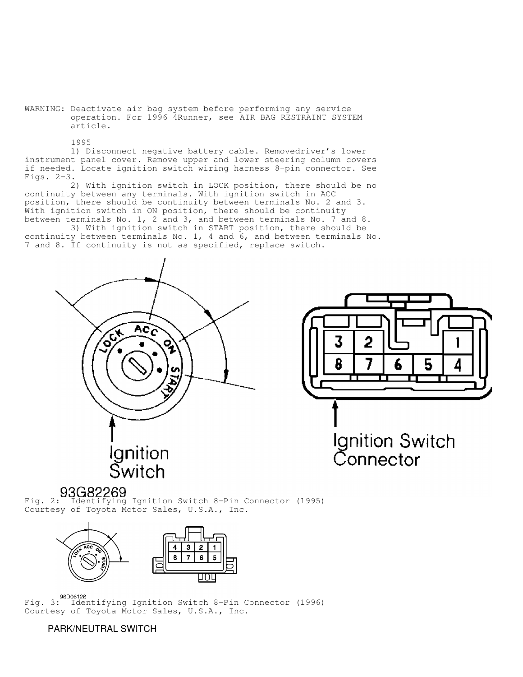WARNING: Deactivate air bag system before performing any service operation. For 1996 4Runner, see AIR BAG RESTRAINT SYSTEM article.

1995

 1) Disconnect negative battery cable. Removedriver's lower instrument panel cover. Remove upper and lower steering column covers if needed. Locate ignition switch wiring harness 8-pin connector. See Figs. 2-3.

 2) With ignition switch in LOCK position, there should be no continuity between any terminals. With ignition switch in ACC position, there should be continuity between terminals No. 2 and 3. With ignition switch in ON position, there should be continuity between terminals No. 1, 2 and 3, and between terminals No. 7 and 8.

 3) With ignition switch in START position, there should be continuity between terminals No. 1, 4 and 6, and between terminals No. 7 and 8. If continuity is not as specified, replace switch.





Fig. 2: Identifying Ignition Switch 8-Pin Connector (1995) Courtesy of Toyota Motor Sales, U.S.A., Inc.



**Fig. 3:** Identifying Ignition Switch 8-Pin Connector (1996) Courtesy of Toyota Motor Sales, U.S.A., Inc.

PARK/NEUTRAL SWITCH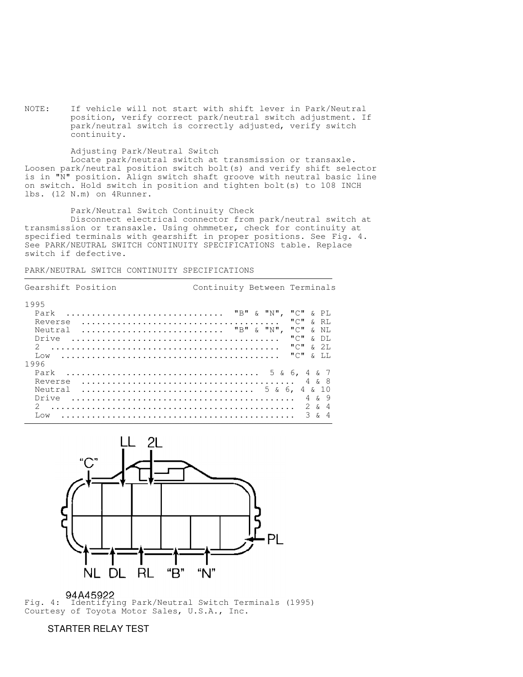NOTE: If vehicle will not start with shift lever in Park/Neutral position, verify correct park/neutral switch adjustment. If park/neutral switch is correctly adjusted, verify switch continuity.

#### Adjusting Park/Neutral Switch

 Locate park/neutral switch at transmission or transaxle. Loosen park/neutral position switch bolt(s) and verify shift selector is in "N" position. Align switch shaft groove with neutral basic line on switch. Hold switch in position and tighten bolt(s) to 108 INCH lbs. (12 N.m) on 4Runner.

Park/Neutral Switch Continuity Check

 Disconnect electrical connector from park/neutral switch at transmission or transaxle. Using ohmmeter, check for continuity at specified terminals with gearshift in proper positions. See Fig. 4. See PARK/NEUTRAL SWITCH CONTINUITY SPECIFICATIONS table. Replace switch if defective.

```
PARK/NEUTRAL SWITCH CONTINUITY SPECIFICATIONS
```

| Gearshift Position                                                                  | Continuity Between Terminals                                                                                                         |
|-------------------------------------------------------------------------------------|--------------------------------------------------------------------------------------------------------------------------------------|
| 1995<br>Park<br>Reverse<br>$\ldots$ "B" & "N",<br>Neutral<br>Drive<br>$\mathcal{L}$ | "C"<br>& PL<br>$\mathbf{u} \cup \mathbf{u}$<br>k RT.<br>"C"<br>$\kappa$ NT.<br>$\mathbf{u} \cup \mathbf{u}$<br>& DI.<br>யிய<br>& 2T. |
| Low<br>1996<br>Park<br>Reverse<br>Neutral<br>Drive<br>$\mathcal{L}$<br>T.ow         | யிய<br>. X T.T.<br>4 & 7<br>& 10<br>r 9<br>4<br>$\overline{2}$<br>$\mathcal{E}$<br>4<br>Δ<br>$\mathcal{L}$                           |



Fig. 4: Identifying Park/Neutral Switch Terminals (1995) Courtesy of Toyota Motor Sales, U.S.A., Inc.

# STARTER RELAY TEST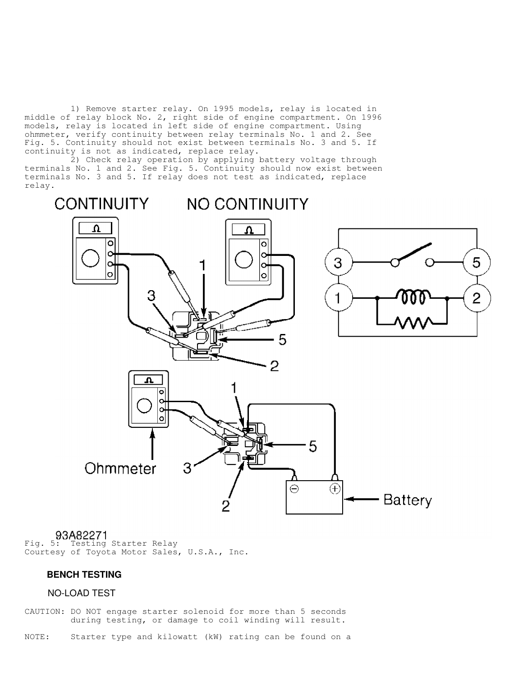1) Remove starter relay. On 1995 models, relay is located in middle of relay block No. 2, right side of engine compartment. On 1996 models, relay is located in left side of engine compartment. Using ohmmeter, verify continuity between relay terminals No. 1 and 2. See Fig. 5. Continuity should not exist between terminals No. 3 and 5. If continuity is not as indicated, replace relay.

 2) Check relay operation by applying battery voltage through terminals No. 1 and 2. See Fig. 5. Continuity should now exist between terminals No. 3 and 5. If relay does not test as indicated, replace relay.

**CONTINUITY NO CONTINUITY**  $\circ$ O 5 3 C  $\overline{2}$ 1 5 2 Ω ¢ o ö 5 Ohmmeter 3 ⊖  $\left( \mathrm{+}\right)$ Battery  $\overline{2}$ 

93A82271<br>Fig. 5: Testing Starter Relay Courtesy of Toyota Motor Sales, U.S.A., Inc.

## **BENCH TESTING**

### NO-LOAD TEST

CAUTION: DO NOT engage starter solenoid for more than 5 seconds during testing, or damage to coil winding will result.

NOTE: Starter type and kilowatt (kW) rating can be found on a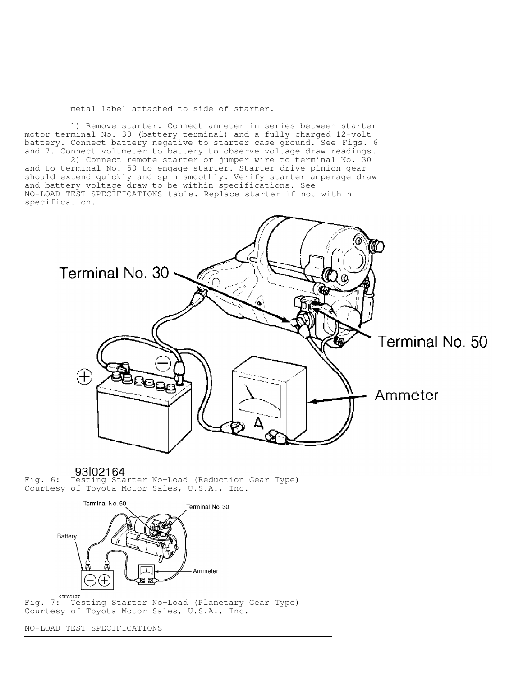metal label attached to side of starter.

 1) Remove starter. Connect ammeter in series between starter motor terminal No. 30 (battery terminal) and a fully charged 12-volt battery. Connect battery negative to starter case ground. See Figs. 6 and 7. Connect voltmeter to battery to observe voltage draw readings.

2) Connect remote starter or jumper wire to terminal No. 30 and to terminal No. 50 to engage starter. Starter drive pinion gear should extend quickly and spin smoothly. Verify starter amperage draw and battery voltage draw to be within specifications. See NO-LOAD TEST SPECIFICATIONS table. Replace starter if not within specification.



93 02164 Fig. 6: Testing Starter No-Load (Reduction Gear Type) Courtesy of Toyota Motor Sales, U.S.A., Inc.



Fig. 7: Testing Starter No-Load (Planetary Gear Type) Courtesy of Toyota Motor Sales, U.S.A., Inc.

NO-LOAD TEST SPECIFICATIONS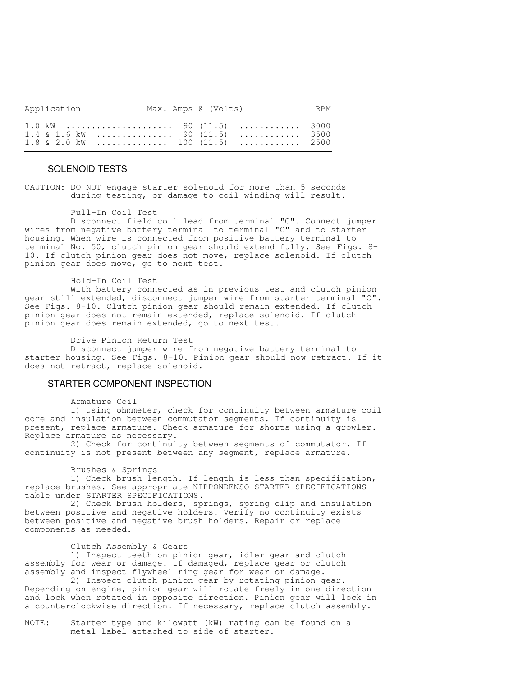| Application  |  | Max. Amps @ (Volts) |      | <b>RPM</b> |
|--------------|--|---------------------|------|------------|
| $1 \cap k$ M |  | 90(115)             | 3000 |            |

|  | $1.4 \& 1.6 \& W$ 90 (11.5)  3500  |  |  |
|--|------------------------------------|--|--|
|  | $1.8 \& 2.0 \& W$ 100 (11.5)  2500 |  |  |

## SOLENOID TESTS

CAUTION: DO NOT engage starter solenoid for more than 5 seconds during testing, or damage to coil winding will result.

#### Pull-In Coil Test

 Disconnect field coil lead from terminal "C". Connect jumper wires from negative battery terminal to terminal "C" and to starter housing. When wire is connected from positive battery terminal to terminal No. 50, clutch pinion gear should extend fully. See Figs. 8- 10. If clutch pinion gear does not move, replace solenoid. If clutch pinion gear does move, go to next test.

Hold-In Coil Test

 With battery connected as in previous test and clutch pinion gear still extended, disconnect jumper wire from starter terminal "C". See Figs. 8-10. Clutch pinion gear should remain extended. If clutch pinion gear does not remain extended, replace solenoid. If clutch pinion gear does remain extended, go to next test.

Drive Pinion Return Test

 Disconnect jumper wire from negative battery terminal to starter housing. See Figs. 8-10. Pinion gear should now retract. If it does not retract, replace solenoid.

### STARTER COMPONENT INSPECTION

Armature Coil

 1) Using ohmmeter, check for continuity between armature coil core and insulation between commutator segments. If continuity is present, replace armature. Check armature for shorts using a growler. Replace armature as necessary.

 2) Check for continuity between segments of commutator. If continuity is not present between any segment, replace armature.

#### Brushes & Springs

 1) Check brush length. If length is less than specification, replace brushes. See appropriate NIPPONDENSO STARTER SPECIFICATIONS table under STARTER SPECIFICATIONS.

 2) Check brush holders, springs, spring clip and insulation between positive and negative holders. Verify no continuity exists between positive and negative brush holders. Repair or replace components as needed.

#### Clutch Assembly & Gears

 1) Inspect teeth on pinion gear, idler gear and clutch assembly for wear or damage. If damaged, replace gear or clutch assembly and inspect flywheel ring gear for wear or damage.

 2) Inspect clutch pinion gear by rotating pinion gear. Depending on engine, pinion gear will rotate freely in one direction and lock when rotated in opposite direction. Pinion gear will lock in a counterclockwise direction. If necessary, replace clutch assembly.

NOTE: Starter type and kilowatt (kW) rating can be found on a metal label attached to side of starter.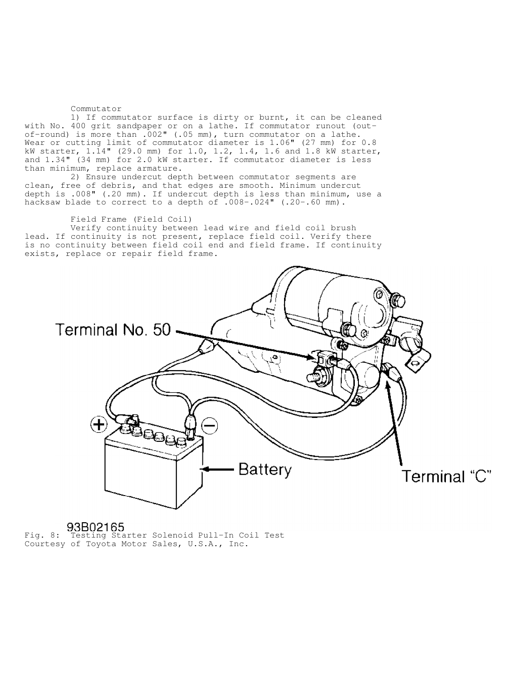#### Commutator

 1) If commutator surface is dirty or burnt, it can be cleaned with No. 400 grit sandpaper or on a lathe. If commutator runout (outof-round) is more than .002" (.05 mm), turn commutator on a lathe. Wear or cutting limit of commutator diameter is 1.06" (27 mm) for 0.8 kW starter, 1.14" (29.0 mm) for 1.0, 1.2, 1.4, 1.6 and 1.8 kW starter, and 1.34" (34 mm) for 2.0 kW starter. If commutator diameter is less than minimum, replace armature.

 2) Ensure undercut depth between commutator segments are clean, free of debris, and that edges are smooth. Minimum undercut depth is .008" (.20 mm). If undercut depth is less than minimum, use a hacksaw blade to correct to a depth of .008-.024" (.20-.60 mm).

Field Frame (Field Coil)

 Verify continuity between lead wire and field coil brush lead. If continuity is not present, replace field coil. Verify there is no continuity between field coil end and field frame. If continuity exists, replace or repair field frame.



Fig. 8: Testing Starter Solenoid Pull-In Coil Test Courtesy of Toyota Motor Sales, U.S.A., Inc.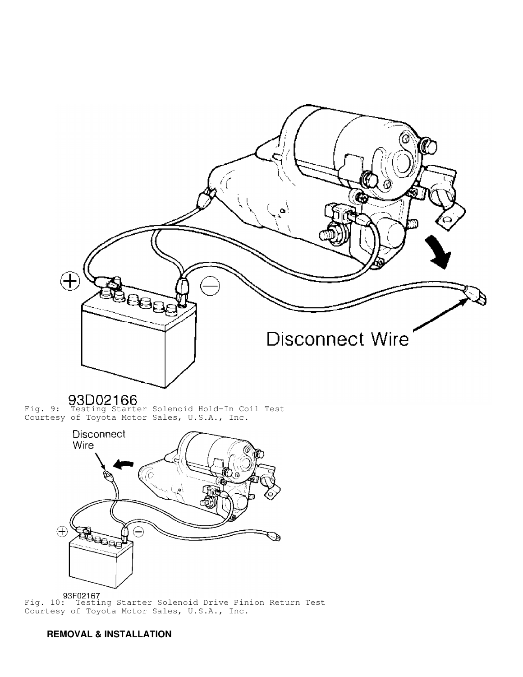

Fig. 9: Testing Starter Solenoid Hold-In Coil Test Courtesy of Toyota Motor Sales, U.S.A., Inc.



Fig. 10: Testing Starter Solenoid Drive Pinion Return Test Courtesy of Toyota Motor Sales, U.S.A., Inc.

# **REMOVAL & INSTALLATION**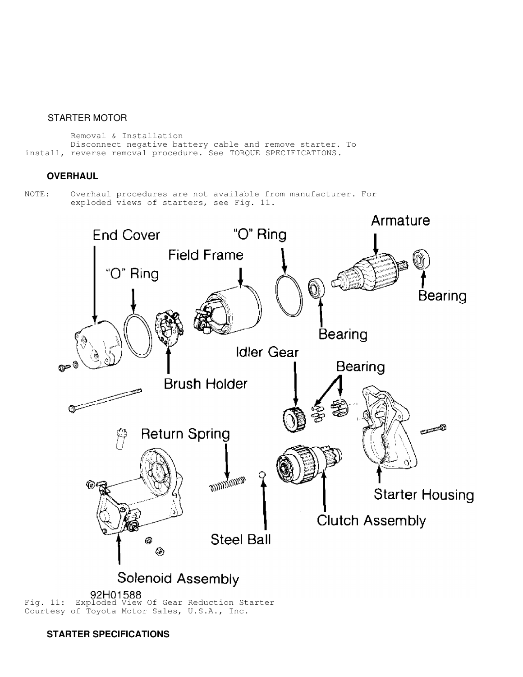## STARTER MOTOR

 Removal & Installation Disconnect negative battery cable and remove starter. To install, reverse removal procedure. See TORQUE SPECIFICATIONS.

# **OVERHAUL**

NOTE: Overhaul procedures are not available from manufacturer. For exploded views of starters, see Fig. 11.



<sup>92</sup>H01588<br>Fig. 11: Exploded View Of Gear Reduction Starter Courtesy of Toyota Motor Sales, U.S.A., Inc.

 **STARTER SPECIFICATIONS**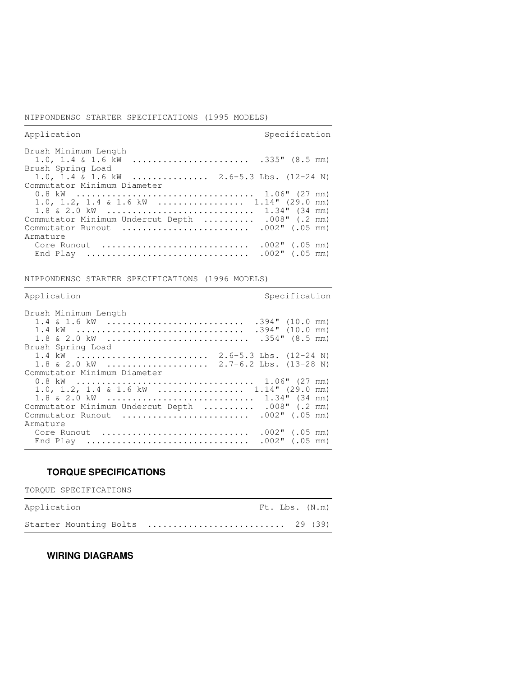### NIPPONDENSO STARTER SPECIFICATIONS (1995 MODELS)

| Application                                                                                                                                         | Specification                          |
|-----------------------------------------------------------------------------------------------------------------------------------------------------|----------------------------------------|
| Brush Minimum Length<br>Brush Spring Load                                                                                                           |                                        |
| 1.0, 1.4 & 1.6 kW  2.6-5.3 Lbs. $(12-24 N)$                                                                                                         |                                        |
| Commutator Minimum Diameter<br>1.0, 1.2, 1.4 & 1.6 kW  1.14" (29.0 mm)<br>$1.8 \& 2.0 \& 0 \cdots \cdots \cdots \cdots \cdots \cdots \cdots \cdots$ | $1.34$ " (34 mm)                       |
| Commutator Minimum Undercut Depth<br>Commutator Runout<br>Armature                                                                                  | $.008$ " (.2 mm)<br>$.002$ " (.05 mm)  |
| Core Runout<br>End Play                                                                                                                             | $.002$ " (.05 mm)<br>$.002$ " (.05 mm) |

,我们就会不会不会。""我们,我们不会不会不会,我们不会不会不会,我们不会不会不会不会。""我们,我们不会不会不会不会。""我们,我们不会不会不会不会。""我们

NIPPONDENSO STARTER SPECIFICATIONS (1996 MODELS)

| Application                                                                                         | Specification                                               |
|-----------------------------------------------------------------------------------------------------|-------------------------------------------------------------|
| Brush Minimum Length                                                                                |                                                             |
| 1.4 & 1.6 kW<br>$1.8 \& 2.0 \& 0 \dots \dots \dots \dots \dots \dots \dots \dots \dots \dots \dots$ | $.394"$ (10.0 mm)<br>$.394"$ (10.0 mm)<br>$.354$ " (8.5 mm) |
| Brush Spring Load                                                                                   |                                                             |
| $1.8 \& 2.0 \& 0 \& 0 \quad \cdots \cdots \cdots \cdots \cdots \cdots$                              | $2.7-6.2$ Lbs. $(13-28$ N)                                  |
| Commutator Minimum Diameter                                                                         |                                                             |
| 1.0, 1.2, 1.4 & 1.6 kW  1.14" (29.0 mm)<br>1.8 & 2.0 kW                                             | $1.34$ " (34 mm)                                            |
| Commutator Minimum Undercut Depth                                                                   | $.008$ " (.2 mm)                                            |
| Commutator Runout                                                                                   | $.002$ " (.05 mm)                                           |
| Armature                                                                                            |                                                             |
| Core Runout                                                                                         | $.002$ " (.05 mm)                                           |
| End Play                                                                                            | $.002$ " (.05 mm)                                           |

# **TORQUE SPECIFICATIONS**

TORQUE SPECIFICATIONS

| Application | Ft. Lbs. (N.m)                  |  |
|-------------|---------------------------------|--|
|             | Starter Mounting Bolts  29 (39) |  |

# **WIRING DIAGRAMS**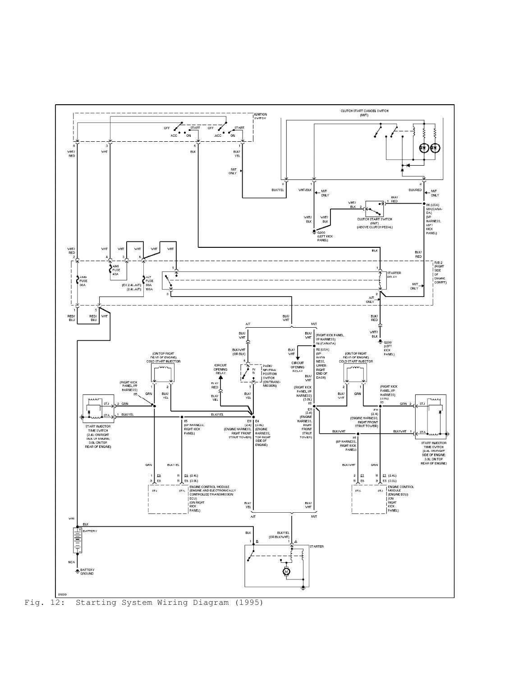

Fig. 12: Starting System Wiring Diagram (1995)